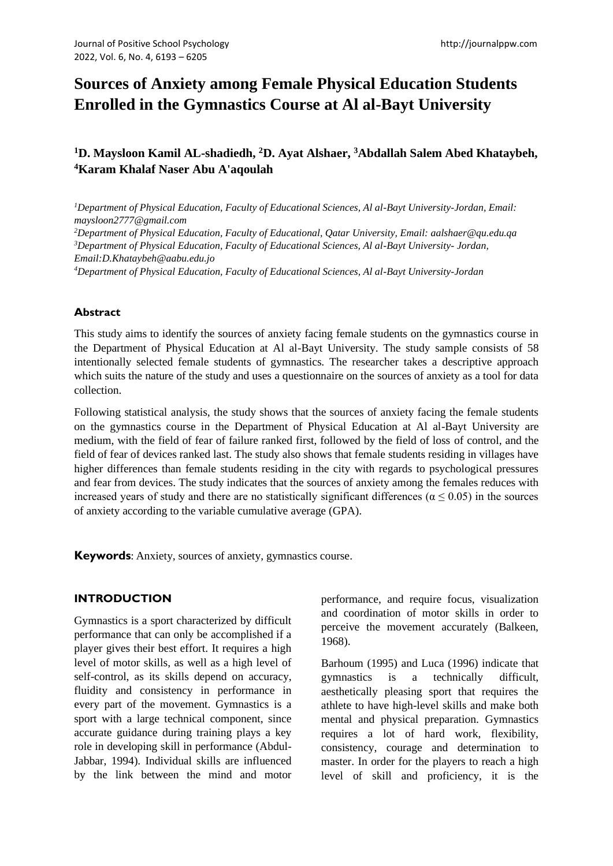# **Sources of Anxiety among Female Physical Education Students Enrolled in the Gymnastics Course at Al al-Bayt University**

# **<sup>1</sup>D. Maysloon Kamil AL-shadiedh, <sup>2</sup>D. Ayat Alshaer, <sup>3</sup>Abdallah Salem Abed Khataybeh, <sup>4</sup>Karam Khalaf Naser Abu A'aqoulah**

*<sup>1</sup>Department of Physical Education, Faculty of Educational Sciences, Al al-Bayt University-Jordan, Email: maysloon2777@gmail.com*

*<sup>2</sup>Department of Physical Education, Faculty of Educational, Qatar University, Email: aalshaer@qu.edu.qa <sup>3</sup>Department of Physical Education, Faculty of Educational Sciences, Al al-Bayt University- Jordan, Email:D.Khataybeh@aabu.edu.jo*

*<sup>4</sup>Department of Physical Education, Faculty of Educational Sciences, Al al-Bayt University-Jordan* 

#### **Abstract**

This study aims to identify the sources of anxiety facing female students on the gymnastics course in the Department of Physical Education at Al al-Bayt University. The study sample consists of 58 intentionally selected female students of gymnastics. The researcher takes a descriptive approach which suits the nature of the study and uses a questionnaire on the sources of anxiety as a tool for data collection.

Following statistical analysis, the study shows that the sources of anxiety facing the female students on the gymnastics course in the Department of Physical Education at Al al-Bayt University are medium, with the field of fear of failure ranked first, followed by the field of loss of control, and the field of fear of devices ranked last. The study also shows that female students residing in villages have higher differences than female students residing in the city with regards to psychological pressures and fear from devices. The study indicates that the sources of anxiety among the females reduces with increased years of study and there are no statistically significant differences ( $\alpha \leq 0.05$ ) in the sources of anxiety according to the variable cumulative average (GPA).

**Keywords**: Anxiety, sources of anxiety, gymnastics course.

### **INTRODUCTION**

Gymnastics is a sport characterized by difficult performance that can only be accomplished if a player gives their best effort. It requires a high level of motor skills, as well as a high level of self-control, as its skills depend on accuracy, fluidity and consistency in performance in every part of the movement. Gymnastics is a sport with a large technical component, since accurate guidance during training plays a key role in developing skill in performance (Abdul-Jabbar, 1994). Individual skills are influenced by the link between the mind and motor

performance, and require focus, visualization and coordination of motor skills in order to perceive the movement accurately (Balkeen, 1968).

Barhoum (1995) and Luca (1996) indicate that gymnastics is a technically difficult, aesthetically pleasing sport that requires the athlete to have high-level skills and make both mental and physical preparation. Gymnastics requires a lot of hard work, flexibility, consistency, courage and determination to master. In order for the players to reach a high level of skill and proficiency, it is the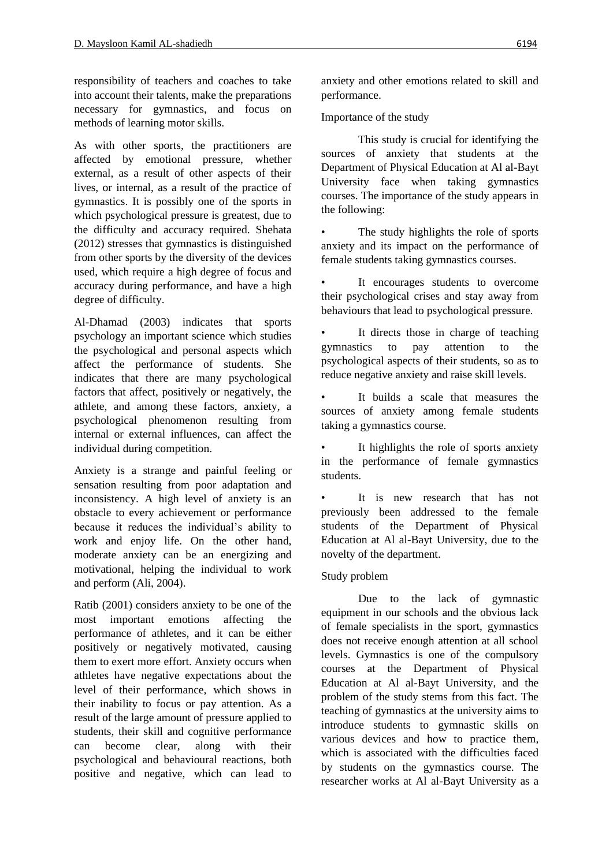responsibility of teachers and coaches to take into account their talents, make the preparations necessary for gymnastics, and focus on methods of learning motor skills.

As with other sports, the practitioners are affected by emotional pressure, whether external, as a result of other aspects of their lives, or internal, as a result of the practice of gymnastics. It is possibly one of the sports in which psychological pressure is greatest, due to the difficulty and accuracy required. Shehata (2012) stresses that gymnastics is distinguished from other sports by the diversity of the devices used, which require a high degree of focus and accuracy during performance, and have a high degree of difficulty.

Al-Dhamad (2003) indicates that sports psychology an important science which studies the psychological and personal aspects which affect the performance of students. She indicates that there are many psychological factors that affect, positively or negatively, the athlete, and among these factors, anxiety, a psychological phenomenon resulting from internal or external influences, can affect the individual during competition.

Anxiety is a strange and painful feeling or sensation resulting from poor adaptation and inconsistency. A high level of anxiety is an obstacle to every achievement or performance because it reduces the individual's ability to work and enjoy life. On the other hand, moderate anxiety can be an energizing and motivational, helping the individual to work and perform (Ali, 2004).

Ratib (2001) considers anxiety to be one of the most important emotions affecting the performance of athletes, and it can be either positively or negatively motivated, causing them to exert more effort. Anxiety occurs when athletes have negative expectations about the level of their performance, which shows in their inability to focus or pay attention. As a result of the large amount of pressure applied to students, their skill and cognitive performance can become clear, along with their psychological and behavioural reactions, both positive and negative, which can lead to anxiety and other emotions related to skill and performance.

Importance of the study

This study is crucial for identifying the sources of anxiety that students at the Department of Physical Education at Al al-Bayt University face when taking gymnastics courses. The importance of the study appears in the following:

The study highlights the role of sports anxiety and its impact on the performance of female students taking gymnastics courses.

It encourages students to overcome their psychological crises and stay away from behaviours that lead to psychological pressure.

• It directs those in charge of teaching gymnastics to pay attention to the psychological aspects of their students, so as to reduce negative anxiety and raise skill levels.

It builds a scale that measures the sources of anxiety among female students taking a gymnastics course.

• It highlights the role of sports anxiety in the performance of female gymnastics students.

It is new research that has not previously been addressed to the female students of the Department of Physical Education at Al al-Bayt University, due to the novelty of the department.

# Study problem

Due to the lack of gymnastic equipment in our schools and the obvious lack of female specialists in the sport, gymnastics does not receive enough attention at all school levels. Gymnastics is one of the compulsory courses at the Department of Physical Education at Al al-Bayt University, and the problem of the study stems from this fact. The teaching of gymnastics at the university aims to introduce students to gymnastic skills on various devices and how to practice them, which is associated with the difficulties faced by students on the gymnastics course. The researcher works at Al al-Bayt University as a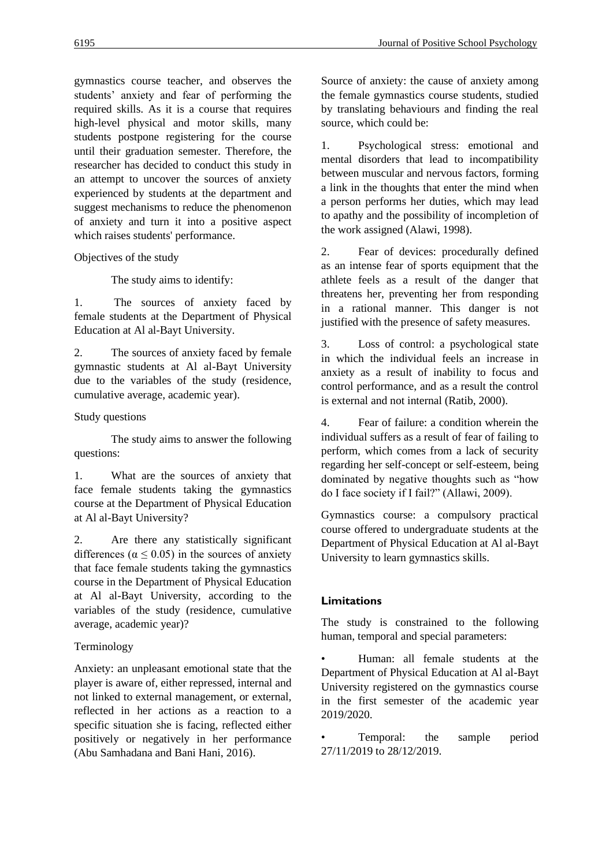gymnastics course teacher, and observes the students' anxiety and fear of performing the required skills. As it is a course that requires high-level physical and motor skills, many students postpone registering for the course until their graduation semester. Therefore, the researcher has decided to conduct this study in an attempt to uncover the sources of anxiety experienced by students at the department and suggest mechanisms to reduce the phenomenon of anxiety and turn it into a positive aspect which raises students' performance.

Objectives of the study

The study aims to identify:

1. The sources of anxiety faced by female students at the Department of Physical Education at Al al-Bayt University.

2. The sources of anxiety faced by female gymnastic students at Al al-Bayt University due to the variables of the study (residence, cumulative average, academic year).

Study questions

The study aims to answer the following questions:

1. What are the sources of anxiety that face female students taking the gymnastics course at the Department of Physical Education at Al al-Bayt University?

2. Are there any statistically significant differences ( $\alpha \leq 0.05$ ) in the sources of anxiety that face female students taking the gymnastics course in the Department of Physical Education at Al al-Bayt University, according to the variables of the study (residence, cumulative average, academic year)?

# Terminology

Anxiety: an unpleasant emotional state that the player is aware of, either repressed, internal and not linked to external management, or external, reflected in her actions as a reaction to a specific situation she is facing, reflected either positively or negatively in her performance (Abu Samhadana and Bani Hani, 2016).

Source of anxiety: the cause of anxiety among the female gymnastics course students, studied by translating behaviours and finding the real source, which could be:

1. Psychological stress: emotional and mental disorders that lead to incompatibility between muscular and nervous factors, forming a link in the thoughts that enter the mind when a person performs her duties, which may lead to apathy and the possibility of incompletion of the work assigned (Alawi, 1998).

2. Fear of devices: procedurally defined as an intense fear of sports equipment that the athlete feels as a result of the danger that threatens her, preventing her from responding in a rational manner. This danger is not justified with the presence of safety measures.

3. Loss of control: a psychological state in which the individual feels an increase in anxiety as a result of inability to focus and control performance, and as a result the control is external and not internal (Ratib, 2000).

4. Fear of failure: a condition wherein the individual suffers as a result of fear of failing to perform, which comes from a lack of security regarding her self-concept or self-esteem, being dominated by negative thoughts such as "how do I face society if I fail?" (Allawi, 2009).

Gymnastics course: a compulsory practical course offered to undergraduate students at the Department of Physical Education at Al al-Bayt University to learn gymnastics skills.

# **Limitations**

The study is constrained to the following human, temporal and special parameters:

• Human: all female students at the Department of Physical Education at Al al-Bayt University registered on the gymnastics course in the first semester of the academic year 2019/2020.

Temporal: the sample period 27/11/2019 to 28/12/2019.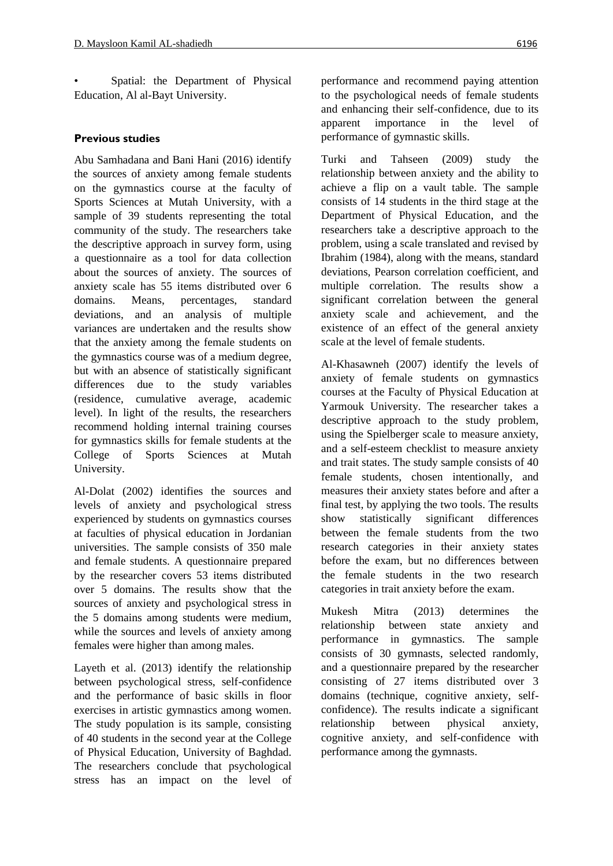Spatial: the Department of Physical Education, Al al-Bayt University.

### **Previous studies**

Abu Samhadana and Bani Hani (2016) identify the sources of anxiety among female students on the gymnastics course at the faculty of Sports Sciences at Mutah University, with a sample of 39 students representing the total community of the study. The researchers take the descriptive approach in survey form, using a questionnaire as a tool for data collection about the sources of anxiety. The sources of anxiety scale has 55 items distributed over 6 domains. Means, percentages, standard deviations, and an analysis of multiple variances are undertaken and the results show that the anxiety among the female students on the gymnastics course was of a medium degree, but with an absence of statistically significant differences due to the study variables (residence, cumulative average, academic level). In light of the results, the researchers recommend holding internal training courses for gymnastics skills for female students at the College of Sports Sciences at Mutah University.

Al-Dolat (2002) identifies the sources and levels of anxiety and psychological stress experienced by students on gymnastics courses at faculties of physical education in Jordanian universities. The sample consists of 350 male and female students. A questionnaire prepared by the researcher covers 53 items distributed over 5 domains. The results show that the sources of anxiety and psychological stress in the 5 domains among students were medium, while the sources and levels of anxiety among females were higher than among males.

Layeth et al. (2013) identify the relationship between psychological stress, self-confidence and the performance of basic skills in floor exercises in artistic gymnastics among women. The study population is its sample, consisting of 40 students in the second year at the College of Physical Education, University of Baghdad. The researchers conclude that psychological stress has an impact on the level of performance and recommend paying attention to the psychological needs of female students and enhancing their self-confidence, due to its apparent importance in the level of performance of gymnastic skills.

Turki and Tahseen (2009) study the relationship between anxiety and the ability to achieve a flip on a vault table. The sample consists of 14 students in the third stage at the Department of Physical Education, and the researchers take a descriptive approach to the problem, using a scale translated and revised by Ibrahim (1984), along with the means, standard deviations, Pearson correlation coefficient, and multiple correlation. The results show a significant correlation between the general anxiety scale and achievement, and the existence of an effect of the general anxiety scale at the level of female students.

Al-Khasawneh (2007) identify the levels of anxiety of female students on gymnastics courses at the Faculty of Physical Education at Yarmouk University. The researcher takes a descriptive approach to the study problem, using the Spielberger scale to measure anxiety, and a self-esteem checklist to measure anxiety and trait states. The study sample consists of 40 female students, chosen intentionally, and measures their anxiety states before and after a final test, by applying the two tools. The results show statistically significant differences between the female students from the two research categories in their anxiety states before the exam, but no differences between the female students in the two research categories in trait anxiety before the exam.

Mukesh Mitra (2013) determines the relationship between state anxiety and performance in gymnastics. The sample consists of 30 gymnasts, selected randomly, and a questionnaire prepared by the researcher consisting of 27 items distributed over 3 domains (technique, cognitive anxiety, selfconfidence). The results indicate a significant relationship between physical anxiety, cognitive anxiety, and self-confidence with performance among the gymnasts.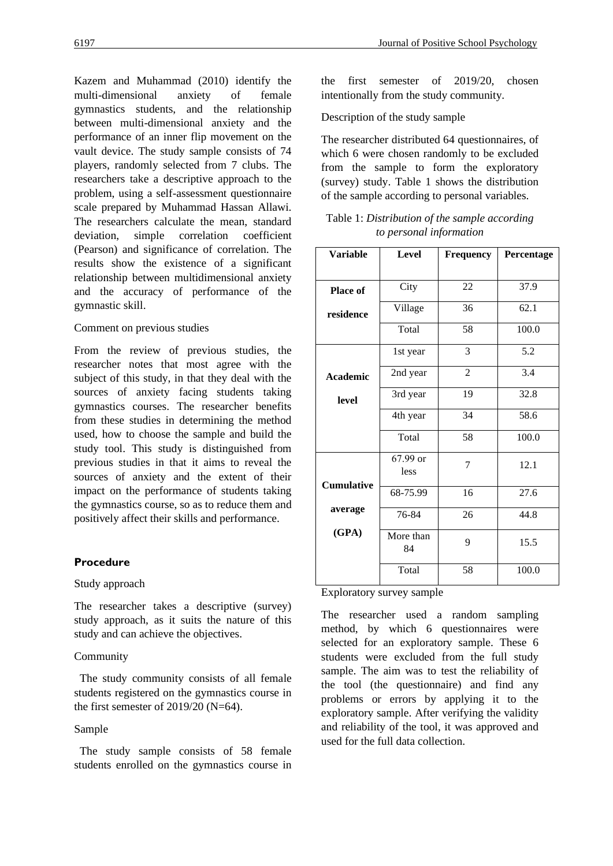Kazem and Muhammad (2010) identify the multi-dimensional anxiety of female gymnastics students, and the relationship between multi-dimensional anxiety and the performance of an inner flip movement on the vault device. The study sample consists of 74 players, randomly selected from 7 clubs. The researchers take a descriptive approach to the problem, using a self-assessment questionnaire scale prepared by Muhammad Hassan Allawi. The researchers calculate the mean, standard deviation, simple correlation coefficient (Pearson) and significance of correlation. The results show the existence of a significant relationship between multidimensional anxiety and the accuracy of performance of the gymnastic skill.

### Comment on previous studies

From the review of previous studies, the researcher notes that most agree with the subject of this study, in that they deal with the sources of anxiety facing students taking gymnastics courses. The researcher benefits from these studies in determining the method used, how to choose the sample and build the study tool. This study is distinguished from previous studies in that it aims to reveal the sources of anxiety and the extent of their impact on the performance of students taking the gymnastics course, so as to reduce them and positively affect their skills and performance.

### **Procedure**

#### Study approach

The researcher takes a descriptive (survey) study approach, as it suits the nature of this study and can achieve the objectives.

#### Community

 The study community consists of all female students registered on the gymnastics course in the first semester of  $2019/20$  (N=64).

#### Sample

 The study sample consists of 58 female students enrolled on the gymnastics course in the first semester of 2019/20, chosen intentionally from the study community.

Description of the study sample

The researcher distributed 64 questionnaires, of which 6 were chosen randomly to be excluded from the sample to form the exploratory (survey) study. Table 1 shows the distribution of the sample according to personal variables.

| Table 1: Distribution of the sample according |  |
|-----------------------------------------------|--|
| to personal information                       |  |

| <b>Variable</b>   | Level            | <b>Frequency</b> | Percentage |
|-------------------|------------------|------------------|------------|
|                   |                  |                  |            |
| <b>Place of</b>   | City             | 22               | 37.9       |
| residence         | Village          | 36               | 62.1       |
|                   | Total            | 58               | 100.0      |
|                   | 1st year         | 3                | 5.2        |
| Academic          | 2nd year         | $\overline{2}$   | 3.4        |
| level             | 3rd year         | 19               | 32.8       |
|                   | 4th year         | 34               | 58.6       |
|                   | Total            | 58               | 100.0      |
|                   | 67.99 or<br>less | 7                | 12.1       |
| <b>Cumulative</b> | 68-75.99         | 16               | 27.6       |
| average           | 76-84            | 26               | 44.8       |
| (GPA)             | More than<br>84  | 9                | 15.5       |
|                   | Total            | 58               | 100.0      |

#### Exploratory survey sample

The researcher used a random sampling method, by which 6 questionnaires were selected for an exploratory sample. These 6 students were excluded from the full study sample. The aim was to test the reliability of the tool (the questionnaire) and find any problems or errors by applying it to the exploratory sample. After verifying the validity and reliability of the tool, it was approved and used for the full data collection.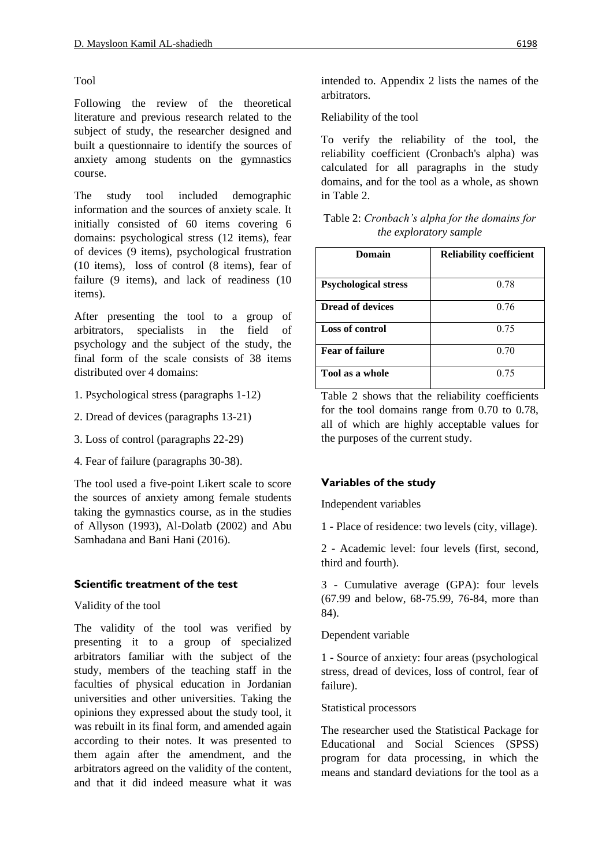# Tool

Following the review of the theoretical literature and previous research related to the subject of study, the researcher designed and built a questionnaire to identify the sources of anxiety among students on the gymnastics course.

The study tool included demographic information and the sources of anxiety scale. It initially consisted of 60 items covering 6 domains: psychological stress (12 items), fear of devices (9 items), psychological frustration (10 items), loss of control (8 items), fear of failure (9 items), and lack of readiness (10 items).

After presenting the tool to a group of arbitrators, specialists in the field of psychology and the subject of the study, the final form of the scale consists of 38 items distributed over 4 domains:

- 1. Psychological stress (paragraphs 1-12)
- 2. Dread of devices (paragraphs 13-21)
- 3. Loss of control (paragraphs 22-29)
- 4. Fear of failure (paragraphs 30-38).

The tool used a five-point Likert scale to score the sources of anxiety among female students taking the gymnastics course, as in the studies of Allyson (1993), Al-Dolatb (2002) and Abu Samhadana and Bani Hani (2016).

# **Scientific treatment of the test**

Validity of the tool

The validity of the tool was verified by presenting it to a group of specialized arbitrators familiar with the subject of the study, members of the teaching staff in the faculties of physical education in Jordanian universities and other universities. Taking the opinions they expressed about the study tool, it was rebuilt in its final form, and amended again according to their notes. It was presented to them again after the amendment, and the arbitrators agreed on the validity of the content, and that it did indeed measure what it was

intended to. Appendix 2 lists the names of the arbitrators.

Reliability of the tool

To verify the reliability of the tool, the reliability coefficient (Cronbach's alpha) was calculated for all paragraphs in the study domains, and for the tool as a whole, as shown in Table 2.

| Table 2: Cronbach's alpha for the domains for |  |
|-----------------------------------------------|--|
| <i>the exploratory sample</i>                 |  |

| Domain                      | <b>Reliability coefficient</b> |
|-----------------------------|--------------------------------|
| <b>Psychological stress</b> | 0.78                           |
| <b>Dread of devices</b>     | 0.76                           |
| <b>Loss of control</b>      | 0.75                           |
| <b>Fear of failure</b>      | 0.70                           |
| Tool as a whole             | 0.75                           |

Table 2 shows that the reliability coefficients for the tool domains range from 0.70 to 0.78, all of which are highly acceptable values for the purposes of the current study.

# **Variables of the study**

Independent variables

1 - Place of residence: two levels (city, village).

2 - Academic level: four levels (first, second, third and fourth).

3 - Cumulative average (GPA): four levels (67.99 and below, 68-75.99, 76-84, more than 84).

# Dependent variable

1 - Source of anxiety: four areas (psychological stress, dread of devices, loss of control, fear of failure).

# Statistical processors

The researcher used the Statistical Package for Educational and Social Sciences (SPSS) program for data processing, in which the means and standard deviations for the tool as a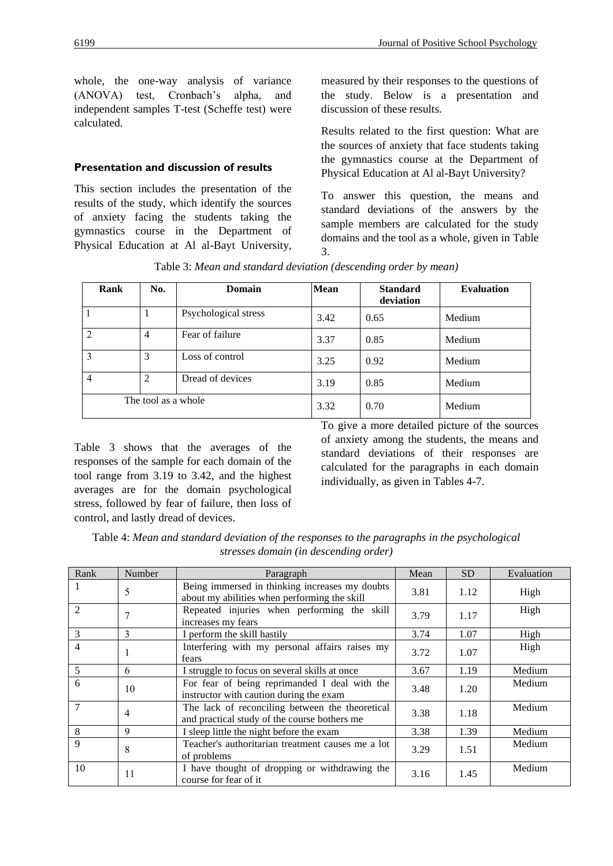whole, the one-way analysis of variance (ANOVA) test, Cronbach's alpha, and independent samples T-test (Scheffe test) were calculated.

### **Presentation and discussion of results**

This section includes the presentation of the results of the study, which identify the sources of anxiety facing the students taking the gymnastics course in the Department of Physical Education at Al al-Bayt University, measured by their responses to the questions of the study. Below is a presentation and discussion of these results.

Results related to the first question: What are the sources of anxiety that face students taking the gymnastics course at the Department of Physical Education at Al al-Bayt University?

To answer this question, the means and standard deviations of the answers by the sample members are calculated for the study domains and the tool as a whole, given in Table 3.

| Rank | No.                 | Domain               | <b>Mean</b> | <b>Standard</b><br>deviation | <b>Evaluation</b> |
|------|---------------------|----------------------|-------------|------------------------------|-------------------|
|      |                     | Psychological stress | 3.42        | 0.65                         | Medium            |
| 2    | $\overline{4}$      | Fear of failure      | 3.37        | 0.85                         | Medium            |
| 3    | 3                   | Loss of control      | 3.25        | 0.92                         | Medium            |
| 4    | $\overline{2}$      | Dread of devices     | 3.19        | 0.85                         | Medium            |
|      | The tool as a whole |                      | 3.32        | 0.70                         | Medium            |

Table 3: *Mean and standard deviation (descending order by mean)*

Table 3 shows that the averages of the responses of the sample for each domain of the tool range from 3.19 to 3.42, and the highest averages are for the domain psychological stress, followed by fear of failure, then loss of control, and lastly dread of devices.

To give a more detailed picture of the sources of anxiety among the students, the means and standard deviations of their responses are calculated for the paragraphs in each domain individually, as given in Tables 4-7.

| Table 4: Mean and standard deviation of the responses to the paragraphs in the psychological |
|----------------------------------------------------------------------------------------------|
| stresses domain (in descending order)                                                        |

| Rank           | Number | Paragraph                                                                                       | Mean | <b>SD</b> | Evaluation |
|----------------|--------|-------------------------------------------------------------------------------------------------|------|-----------|------------|
|                | 5      | Being immersed in thinking increases my doubts<br>about my abilities when performing the skill  | 3.81 | 1.12      | High       |
| $\mathfrak{D}$ |        | Repeated injuries when performing the skill<br>increases my fears                               | 3.79 | 1.17      | High       |
| 3              | 3      | I perform the skill hastily                                                                     | 3.74 | 1.07      | High       |
| 4              | 1      | Interfering with my personal affairs raises my<br>fears                                         | 3.72 | 1.07      | High       |
| 5              | 6      | I struggle to focus on several skills at once                                                   | 3.67 | 1.19      | Medium     |
| 6              | 10     | For fear of being reprimanded I deal with the<br>instructor with caution during the exam        | 3.48 | 1.20      | Medium     |
|                | 4      | The lack of reconciling between the theoretical<br>and practical study of the course bothers me | 3.38 | 1.18      | Medium     |
| 8              | 9      | I sleep little the night before the exam                                                        | 3.38 | 1.39      | Medium     |
| 9              | 8      | Teacher's authoritarian treatment causes me a lot<br>of problems                                | 3.29 | 1.51      | Medium     |
| 10             | 11     | I have thought of dropping or withdrawing the<br>course for fear of it                          | 3.16 | 1.45      | Medium     |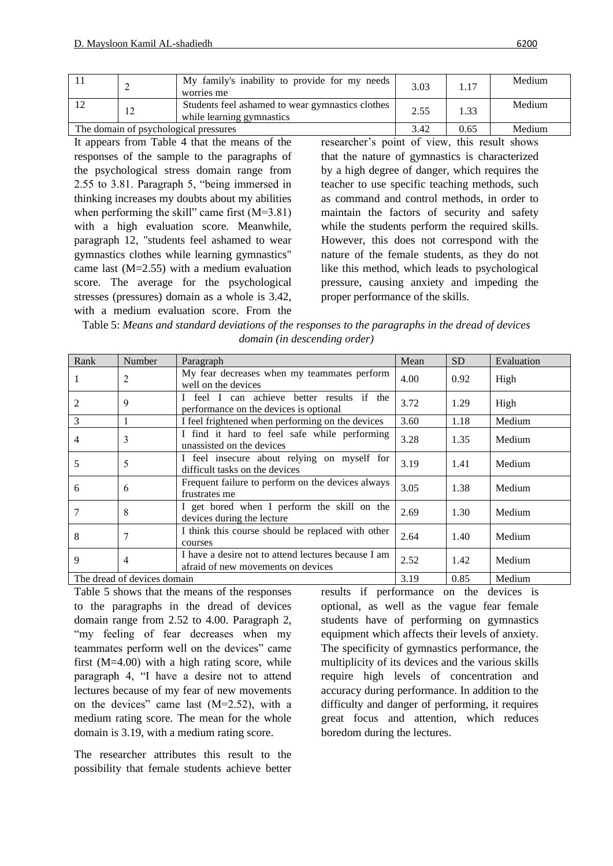|                                       | ∸          | My family's inability to provide for my needs<br>worries me                   | 3.03 | 1.17   | Medium |
|---------------------------------------|------------|-------------------------------------------------------------------------------|------|--------|--------|
| 12                                    | $\sqrt{2}$ | Students feel ashamed to wear gymnastics clothes<br>while learning gymnastics | 2.55 | 1.33   | Medium |
| The domain of psychological pressures |            | 3.42                                                                          | 0.65 | Medium |        |

It appears from Table 4 that the means of the responses of the sample to the paragraphs of the psychological stress domain range from 2.55 to 3.81. Paragraph 5, "being immersed in thinking increases my doubts about my abilities when performing the skill" came first (M=3.81) with a high evaluation score. Meanwhile, paragraph 12, "students feel ashamed to wear gymnastics clothes while learning gymnastics" came last (M=2.55) with a medium evaluation score. The average for the psychological stresses (pressures) domain as a whole is 3.42, with a medium evaluation score. From the researcher's point of view, this result shows that the nature of gymnastics is characterized by a high degree of danger, which requires the teacher to use specific teaching methods, such as command and control methods, in order to maintain the factors of security and safety while the students perform the required skills. However, this does not correspond with the nature of the female students, as they do not like this method, which leads to psychological pressure, causing anxiety and impeding the proper performance of the skills.

| Table 5: Means and standard deviations of the responses to the paragraphs in the dread of devices |
|---------------------------------------------------------------------------------------------------|
| domain (in descending order)                                                                      |

| Rank | Number                      | Paragraph                                                                                 | Mean | <b>SD</b> | Evaluation |
|------|-----------------------------|-------------------------------------------------------------------------------------------|------|-----------|------------|
|      | 2                           | My fear decreases when my teammates perform<br>well on the devices                        | 4.00 | 0.92      | High       |
|      | 9                           | feel I can achieve better results if the<br>performance on the devices is optional        | 3.72 | 1.29      | High       |
| 3    |                             | I feel frightened when performing on the devices                                          | 3.60 | 1.18      | Medium     |
| 4    | 3                           | I find it hard to feel safe while performing<br>unassisted on the devices                 | 3.28 | 1.35      | Medium     |
| 5    | 5                           | I feel insecure about relying on myself for<br>difficult tasks on the devices             | 3.19 | 1.41      | Medium     |
| 6    | 6                           | Frequent failure to perform on the devices always<br>frustrates me                        | 3.05 | 1.38      | Medium     |
|      | 8                           | I get bored when I perform the skill on the<br>devices during the lecture                 | 2.69 | 1.30      | Medium     |
| 8    | 7                           | I think this course should be replaced with other<br>courses                              | 2.64 | 1.40      | Medium     |
| 9    | $\overline{4}$              | I have a desire not to attend lectures because I am<br>afraid of new movements on devices | 2.52 | 1.42      | Medium     |
|      | The dread of devices domain |                                                                                           | 3.19 | 0.85      | Medium     |

Table 5 shows that the means of the responses to the paragraphs in the dread of devices domain range from 2.52 to 4.00. Paragraph 2, "my feeling of fear decreases when my teammates perform well on the devices" came first (M=4.00) with a high rating score, while paragraph 4, "I have a desire not to attend lectures because of my fear of new movements on the devices" came last (M=2.52), with a medium rating score. The mean for the whole domain is 3.19, with a medium rating score.

The researcher attributes this result to the possibility that female students achieve better results if performance on the devices is optional, as well as the vague fear female students have of performing on gymnastics equipment which affects their levels of anxiety. The specificity of gymnastics performance, the multiplicity of its devices and the various skills require high levels of concentration and accuracy during performance. In addition to the difficulty and danger of performing, it requires great focus and attention, which reduces boredom during the lectures.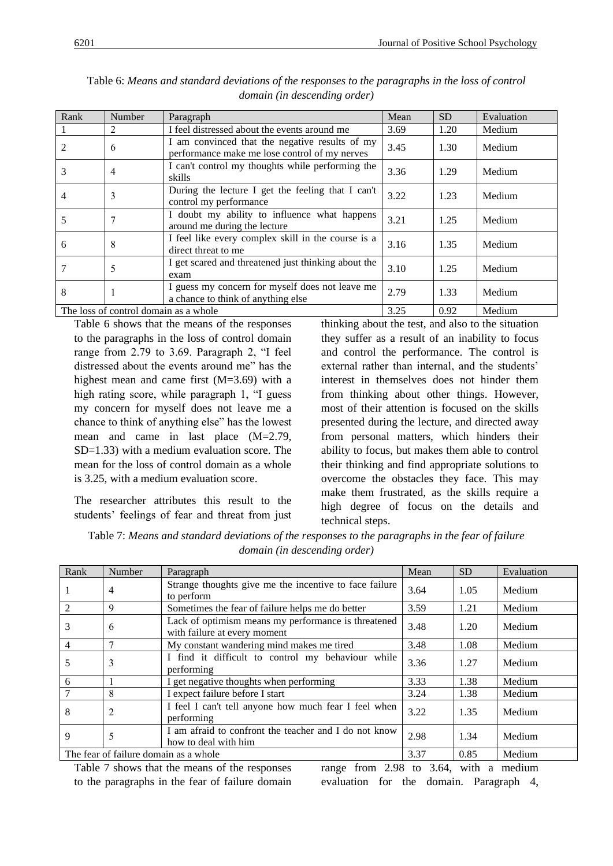| Rank                                  | Number | Paragraph                                                                                       | Mean | <b>SD</b> | Evaluation |
|---------------------------------------|--------|-------------------------------------------------------------------------------------------------|------|-----------|------------|
|                                       | 2      | I feel distressed about the events around me                                                    | 3.69 | 1.20      | Medium     |
| 2                                     | 6      | I am convinced that the negative results of my<br>performance make me lose control of my nerves | 3.45 | 1.30      | Medium     |
| 3                                     | 4      | I can't control my thoughts while performing the<br>skills                                      | 3.36 | 1.29      | Medium     |
| $\overline{4}$                        | 3      | During the lecture I get the feeling that I can't<br>control my performance                     | 3.22 | 1.23      | Medium     |
| 5                                     | 7      | I doubt my ability to influence what happens<br>around me during the lecture                    | 3.21 | 1.25      | Medium     |
| 6                                     | 8      | I feel like every complex skill in the course is a<br>direct threat to me                       | 3.16 | 1.35      | Medium     |
|                                       | 5      | I get scared and threatened just thinking about the<br>exam                                     | 3.10 | 1.25      | Medium     |
| 8                                     |        | I guess my concern for myself does not leave me<br>a chance to think of anything else           | 2.79 | 1.33      | Medium     |
| The loss of control domain as a whole |        |                                                                                                 | 3.25 | 0.92      | Medium     |

Table 6: *Means and standard deviations of the responses to the paragraphs in the loss of control domain (in descending order)*

Table 6 shows that the means of the responses to the paragraphs in the loss of control domain range from 2.79 to 3.69. Paragraph 2, "I feel distressed about the events around me" has the highest mean and came first (M=3.69) with a high rating score, while paragraph 1, "I guess my concern for myself does not leave me a chance to think of anything else" has the lowest mean and came in last place (M=2.79, SD=1.33) with a medium evaluation score. The mean for the loss of control domain as a whole is 3.25, with a medium evaluation score.

The researcher attributes this result to the students' feelings of fear and threat from just thinking about the test, and also to the situation they suffer as a result of an inability to focus and control the performance. The control is external rather than internal, and the students' interest in themselves does not hinder them from thinking about other things. However, most of their attention is focused on the skills presented during the lecture, and directed away from personal matters, which hinders their ability to focus, but makes them able to control their thinking and find appropriate solutions to overcome the obstacles they face. This may make them frustrated, as the skills require a high degree of focus on the details and technical steps.

Table 7: *Means and standard deviations of the responses to the paragraphs in the fear of failure domain (in descending order)*

| Rank           | Number         | Paragraph                                                                           | Mean | <b>SD</b> | Evaluation |
|----------------|----------------|-------------------------------------------------------------------------------------|------|-----------|------------|
|                | 4              | Strange thoughts give me the incentive to face failure<br>to perform                | 3.64 | 1.05      | Medium     |
| $\mathfrak{D}$ | 9              | Sometimes the fear of failure helps me do better                                    | 3.59 | 1.21      | Medium     |
| 3              | 6              | Lack of optimism means my performance is threatened<br>with failure at every moment | 3.48 | 1.20      | Medium     |
| 4              | $\mathbf{r}$   | My constant wandering mind makes me tired                                           | 3.48 | 1.08      | Medium     |
| 5              | 3              | I find it difficult to control my behaviour while<br>performing                     | 3.36 | 1.27      | Medium     |
| 6              |                | I get negative thoughts when performing                                             | 3.33 | 1.38      | Medium     |
|                | 8              | I expect failure before I start                                                     | 3.24 | 1.38      | Medium     |
| 8              | $\overline{2}$ | I feel I can't tell anyone how much fear I feel when<br>performing                  | 3.22 | 1.35      | Medium     |
| 9              | 5              | I am afraid to confront the teacher and I do not know<br>how to deal with him       | 2.98 | 1.34      | Medium     |
|                |                | The fear of failure domain as a whole                                               | 3.37 | 0.85      | Medium     |

Table 7 shows that the means of the responses to the paragraphs in the fear of failure domain range from 2.98 to 3.64, with a medium evaluation for the domain. Paragraph 4,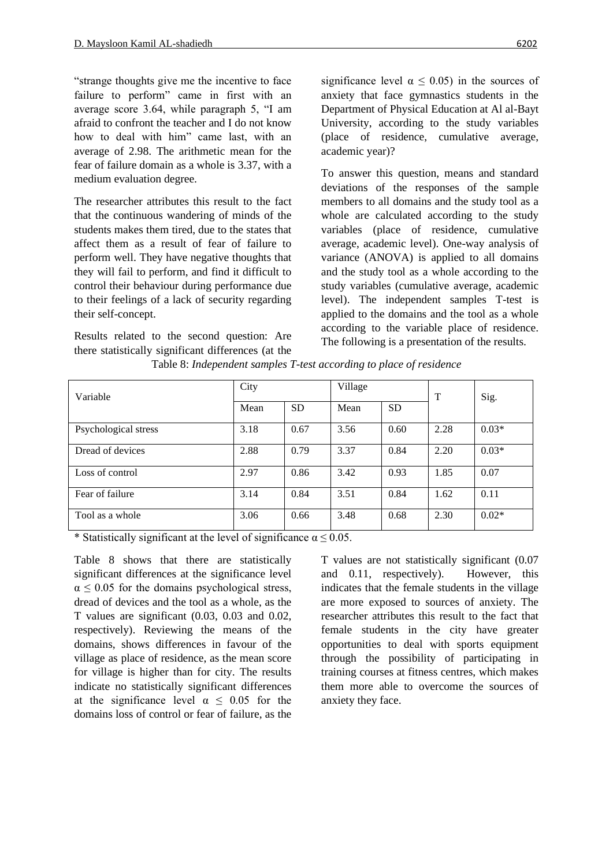"strange thoughts give me the incentive to face failure to perform" came in first with an average score 3.64, while paragraph 5, "I am afraid to confront the teacher and I do not know how to deal with him" came last, with an average of 2.98. The arithmetic mean for the fear of failure domain as a whole is 3.37, with a medium evaluation degree.

The researcher attributes this result to the fact that the continuous wandering of minds of the students makes them tired, due to the states that affect them as a result of fear of failure to perform well. They have negative thoughts that they will fail to perform, and find it difficult to control their behaviour during performance due to their feelings of a lack of security regarding their self-concept.

Results related to the second question: Are there statistically significant differences (at the significance level  $\alpha \leq 0.05$ ) in the sources of anxiety that face gymnastics students in the Department of Physical Education at Al al-Bayt University, according to the study variables (place of residence, cumulative average, academic year)?

To answer this question, means and standard deviations of the responses of the sample members to all domains and the study tool as a whole are calculated according to the study variables (place of residence, cumulative average, academic level). One-way analysis of variance (ANOVA) is applied to all domains and the study tool as a whole according to the study variables (cumulative average, academic level). The independent samples T-test is applied to the domains and the tool as a whole according to the variable place of residence. The following is a presentation of the results.

| Variable             | City |           | Village |           | T    | Sig.    |  |
|----------------------|------|-----------|---------|-----------|------|---------|--|
|                      | Mean | <b>SD</b> | Mean    | <b>SD</b> |      |         |  |
| Psychological stress | 3.18 | 0.67      | 3.56    | 0.60      | 2.28 | $0.03*$ |  |
| Dread of devices     | 2.88 | 0.79      | 3.37    | 0.84      | 2.20 | $0.03*$ |  |
| Loss of control      | 2.97 | 0.86      | 3.42    | 0.93      | 1.85 | 0.07    |  |
| Fear of failure      | 3.14 | 0.84      | 3.51    | 0.84      | 1.62 | 0.11    |  |
| Tool as a whole      | 3.06 | 0.66      | 3.48    | 0.68      | 2.30 | $0.02*$ |  |

Table 8: *Independent samples T-test according to place of residence*

\* Statistically significant at the level of significance  $\alpha \le 0.05$ .

Table 8 shows that there are statistically significant differences at the significance level  $\alpha \leq 0.05$  for the domains psychological stress, dread of devices and the tool as a whole, as the T values are significant (0.03, 0.03 and 0.02, respectively). Reviewing the means of the domains, shows differences in favour of the village as place of residence, as the mean score for village is higher than for city. The results indicate no statistically significant differences at the significance level  $\alpha \leq 0.05$  for the domains loss of control or fear of failure, as the

T values are not statistically significant (0.07 and 0.11, respectively). However, this indicates that the female students in the village are more exposed to sources of anxiety. The researcher attributes this result to the fact that female students in the city have greater opportunities to deal with sports equipment through the possibility of participating in training courses at fitness centres, which makes them more able to overcome the sources of anxiety they face.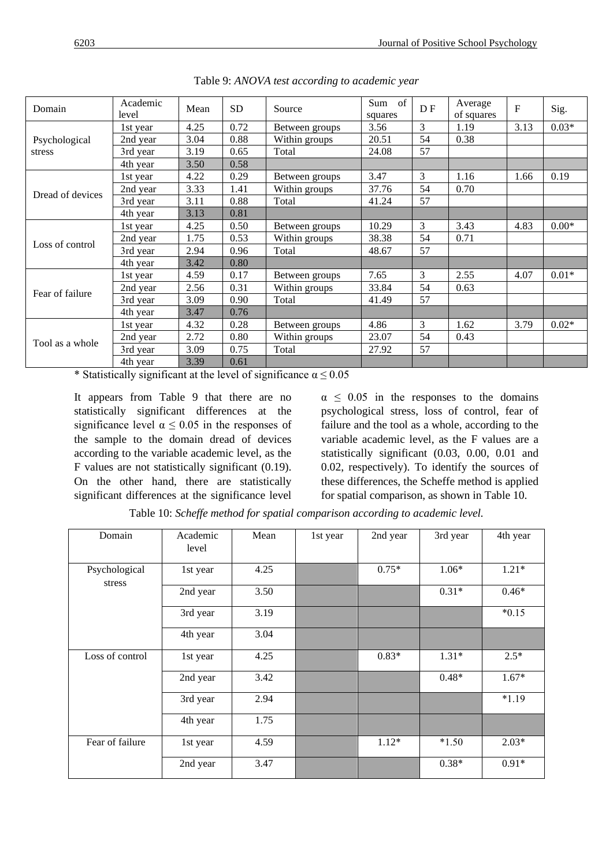| Domain           | Academic<br>level | Mean | <b>SD</b> | Source         | Sum of<br>squares | DF | Average<br>of squares | $\mathbf{F}$ | Sig.    |
|------------------|-------------------|------|-----------|----------------|-------------------|----|-----------------------|--------------|---------|
| Psychological    | 1st year          | 4.25 | 0.72      | Between groups | 3.56              | 3  | 1.19                  | 3.13         | $0.03*$ |
|                  | 2nd year          | 3.04 | 0.88      | Within groups  | 20.51             | 54 | 0.38                  |              |         |
| stress           | 3rd year          | 3.19 | 0.65      | Total          | 24.08             | 57 |                       |              |         |
|                  | 4th year          | 3.50 | 0.58      |                |                   |    |                       |              |         |
|                  | 1st year          | 4.22 | 0.29      | Between groups | 3.47              | 3  | 1.16                  | 1.66         | 0.19    |
|                  | 2nd year          | 3.33 | 1.41      | Within groups  | 37.76             | 54 | 0.70                  |              |         |
| Dread of devices | 3rd year          | 3.11 | 0.88      | Total          | 41.24             | 57 |                       |              |         |
|                  | 4th year          | 3.13 | 0.81      |                |                   |    |                       |              |         |
|                  | 1st year          | 4.25 | 0.50      | Between groups | 10.29             | 3  | 3.43                  | 4.83         | $0.00*$ |
|                  | 2nd year          | 1.75 | 0.53      | Within groups  | 38.38             | 54 | 0.71                  |              |         |
| Loss of control  | 3rd year          | 2.94 | 0.96      | Total          | 48.67             | 57 |                       |              |         |
|                  | 4th year          | 3.42 | 0.80      |                |                   |    |                       |              |         |
|                  | 1st year          | 4.59 | 0.17      | Between groups | 7.65              | 3  | 2.55                  | 4.07         | $0.01*$ |
| Fear of failure  | 2nd year          | 2.56 | 0.31      | Within groups  | 33.84             | 54 | 0.63                  |              |         |
|                  | 3rd year          | 3.09 | 0.90      | Total          | 41.49             | 57 |                       |              |         |
|                  | 4th year          | 3.47 | 0.76      |                |                   |    |                       |              |         |
| Tool as a whole  | 1st year          | 4.32 | 0.28      | Between groups | 4.86              | 3  | 1.62                  | 3.79         | $0.02*$ |
|                  | 2nd year          | 2.72 | 0.80      | Within groups  | 23.07             | 54 | 0.43                  |              |         |
|                  | 3rd year          | 3.09 | 0.75      | Total          | 27.92             | 57 |                       |              |         |
|                  | 4th year          | 3.39 | 0.61      |                |                   |    |                       |              |         |

Table 9: *ANOVA test according to academic year*

\* Statistically significant at the level of significance  $\alpha \le 0.05$ 

It appears from Table 9 that there are no statistically significant differences at the significance level  $\alpha \leq 0.05$  in the responses of the sample to the domain dread of devices according to the variable academic level, as the F values are not statistically significant (0.19). On the other hand, there are statistically significant differences at the significance level  $\alpha \leq 0.05$  in the responses to the domains psychological stress, loss of control, fear of failure and the tool as a whole, according to the variable academic level, as the F values are a statistically significant (0.03, 0.00, 0.01 and 0.02, respectively). To identify the sources of these differences, the Scheffe method is applied for spatial comparison, as shown in Table 10.

| Domain                  | Academic<br>level | Mean | 1st year | 2nd year | 3rd year | 4th year |
|-------------------------|-------------------|------|----------|----------|----------|----------|
| Psychological<br>stress | 1st year          | 4.25 |          | $0.75*$  | $1.06*$  | $1.21*$  |
|                         | 2nd year          | 3.50 |          |          | $0.31*$  | $0.46*$  |
|                         | 3rd year          | 3.19 |          |          |          | $*0.15$  |
|                         | 4th year          | 3.04 |          |          |          |          |
| Loss of control         | 1st year          | 4.25 |          | $0.83*$  | $1.31*$  | $2.5*$   |
|                         | 2nd year          | 3.42 |          |          | $0.48*$  | $1.67*$  |
|                         | 3rd year          | 2.94 |          |          |          | $*1.19$  |
|                         | 4th year          | 1.75 |          |          |          |          |
| Fear of failure         | 1st year          | 4.59 |          | $1.12*$  | $*1.50$  | $2.03*$  |
|                         | 2nd year          | 3.47 |          |          | $0.38*$  | $0.91*$  |

Table 10: *Scheffe method for spatial comparison according to academic level.*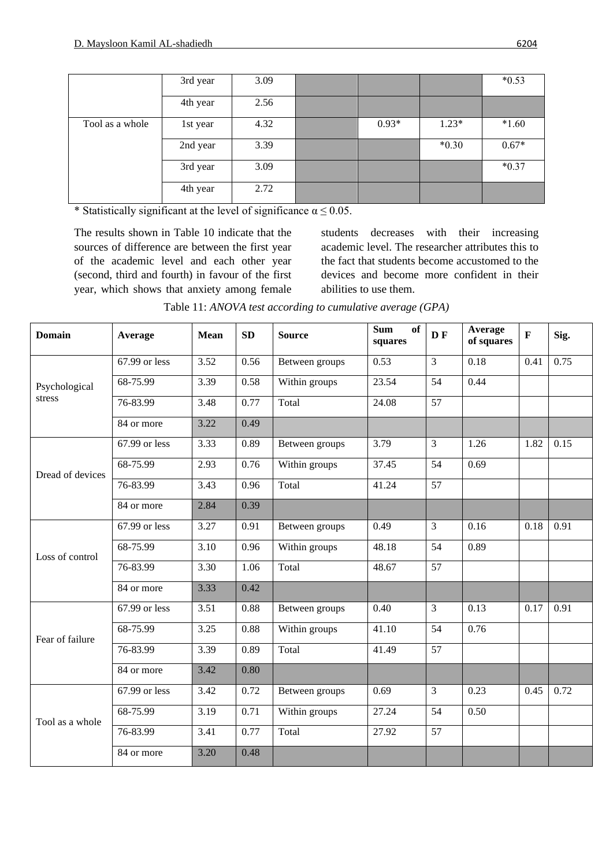|                 | 3rd year | 3.09 |         |         | $*0.53$ |
|-----------------|----------|------|---------|---------|---------|
|                 | 4th year | 2.56 |         |         |         |
| Tool as a whole | 1st year | 4.32 | $0.93*$ | $1.23*$ | $*1.60$ |
|                 | 2nd year | 3.39 |         | $*0.30$ | $0.67*$ |
|                 | 3rd year | 3.09 |         |         | $*0.37$ |
|                 | 4th year | 2.72 |         |         |         |

\* Statistically significant at the level of significance  $\alpha \le 0.05$ .

The results shown in Table 10 indicate that the sources of difference are between the first year of the academic level and each other year (second, third and fourth) in favour of the first year, which shows that anxiety among female students decreases with their increasing academic level. The researcher attributes this to the fact that students become accustomed to the devices and become more confident in their abilities to use them.

Table 11: *ANOVA test according to cumulative average (GPA)*

| <b>Domain</b>           | Average       | <b>Mean</b>       | <b>SD</b> | <b>Source</b>  | <b>Sum</b><br><b>of</b><br>squares | <b>DF</b>       | Average<br>of squares | $\mathbf{F}$ | Sig. |
|-------------------------|---------------|-------------------|-----------|----------------|------------------------------------|-----------------|-----------------------|--------------|------|
| Psychological<br>stress | 67.99 or less | 3.52              | 0.56      | Between groups | 0.53                               | $\overline{3}$  | 0.18                  | 0.41         | 0.75 |
|                         | 68-75.99      | $\overline{3.39}$ | 0.58      | Within groups  | 23.54                              | 54              | 0.44                  |              |      |
|                         | 76-83.99      | 3.48              | 0.77      | Total          | 24.08                              | 57              |                       |              |      |
|                         | 84 or more    | 3.22              | 0.49      |                |                                    |                 |                       |              |      |
|                         | 67.99 or less | 3.33              | 0.89      | Between groups | 3.79                               | 3               | 1.26                  | 1.82         | 0.15 |
| Dread of devices        | 68-75.99      | 2.93              | 0.76      | Within groups  | 37.45                              | 54              | 0.69                  |              |      |
|                         | 76-83.99      | 3.43              | 0.96      | Total          | 41.24                              | 57              |                       |              |      |
|                         | 84 or more    | 2.84              | 0.39      |                |                                    |                 |                       |              |      |
| Loss of control         | 67.99 or less | 3.27              | 0.91      | Between groups | 0.49                               | $\overline{3}$  | 0.16                  | 0.18         | 0.91 |
|                         | 68-75.99      | 3.10              | 0.96      | Within groups  | 48.18                              | 54              | 0.89                  |              |      |
|                         | 76-83.99      | 3.30              | 1.06      | Total          | 48.67                              | 57              |                       |              |      |
|                         | 84 or more    | 3.33              | 0.42      |                |                                    |                 |                       |              |      |
|                         | 67.99 or less | 3.51              | 0.88      | Between groups | 0.40                               | $\overline{3}$  | 0.13                  | 0.17         | 0.91 |
| Fear of failure         | 68-75.99      | 3.25              | 0.88      | Within groups  | 41.10                              | 54              | 0.76                  |              |      |
|                         | 76-83.99      | 3.39              | 0.89      | Total          | 41.49                              | 57              |                       |              |      |
|                         | 84 or more    | 3.42              | 0.80      |                |                                    |                 |                       |              |      |
| Tool as a whole         | 67.99 or less | 3.42              | 0.72      | Between groups | 0.69                               | $\overline{3}$  | 0.23                  | 0.45         | 0.72 |
|                         | 68-75.99      | 3.19              | 0.71      | Within groups  | 27.24                              | 54              | 0.50                  |              |      |
|                         | 76-83.99      | 3.41              | 0.77      | Total          | 27.92                              | $\overline{57}$ |                       |              |      |
|                         | 84 or more    | 3.20              | 0.48      |                |                                    |                 |                       |              |      |